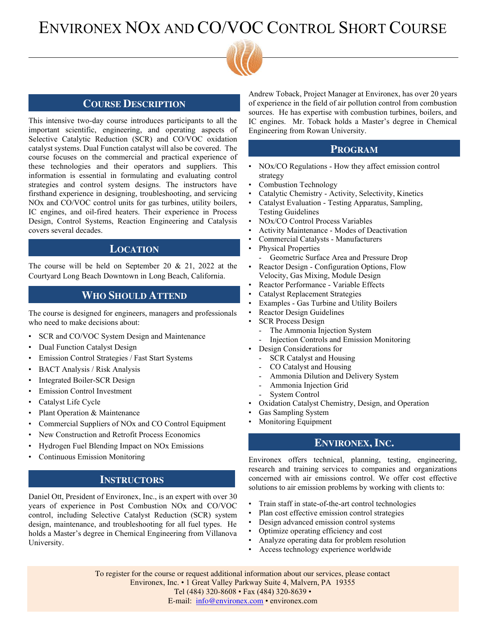# ENVIRONEX NOX AND CO/VOC CONTROL SHORT COURSE



#### **COURSE DESCRIPTION**

This intensive two-day course introduces participants to all the important scientific, engineering, and operating aspects of Selective Catalytic Reduction (SCR) and CO/VOC oxidation catalyst systems. Dual Function catalyst will also be covered. The course focuses on the commercial and practical experience of these technologies and their operators and suppliers. This information is essential in formulating and evaluating control strategies and control system designs. The instructors have firsthand experience in designing, troubleshooting, and servicing NOx and CO/VOC control units for gas turbines, utility boilers, IC engines, and oil-fired heaters. Their experience in Process Design, Control Systems, Reaction Engineering and Catalysis covers several decades.

#### **LOCATION**

The course will be held on September 20 & 21, 2022 at the Courtyard Long Beach Downtown in Long Beach, California.

### **WHO SHOULD ATTEND**

The course is designed for engineers, managers and professionals who need to make decisions about:

- SCR and CO/VOC System Design and Maintenance
- Dual Function Catalyst Design
- Emission Control Strategies / Fast Start Systems
- BACT Analysis / Risk Analysis
- Integrated Boiler-SCR Design
- **Emission Control Investment**
- Catalyst Life Cycle
- Plant Operation & Maintenance
- Commercial Suppliers of NOx and CO Control Equipment
- New Construction and Retrofit Process Economics
- Hydrogen Fuel Blending Impact on NOx Emissions
- Continuous Emission Monitoring

### **INSTRUCTORS**

Daniel Ott, President of Environex, Inc., is an expert with over 30 years of experience in Post Combustion NOx and CO/VOC control, including Selective Catalyst Reduction (SCR) system design, maintenance, and troubleshooting for all fuel types. He holds a Master's degree in Chemical Engineering from Villanova University.

Andrew Toback, Project Manager at Environex, has over 20 years of experience in the field of air pollution control from combustion sources. He has expertise with combustion turbines, boilers, and IC engines. Mr. Toback holds a Master's degree in Chemical Engineering from Rowan University.

#### **PROGRAM**

- NOx/CO Regulations How they affect emission control strategy
- Combustion Technology
- Catalytic Chemistry Activity, Selectivity, Kinetics • Catalyst Evaluation - Testing Apparatus, Sampling,
- Testing Guidelines
- NOx/CO Control Process Variables
- Activity Maintenance Modes of Deactivation
- Commercial Catalysts Manufacturers
- Physical Properties
	- Geometric Surface Area and Pressure Drop
- Reactor Design Configuration Options, Flow Velocity, Gas Mixing, Module Design
- Reactor Performance Variable Effects
- Catalyst Replacement Strategies
- Examples Gas Turbine and Utility Boilers
- Reactor Design Guidelines
- **SCR Process Design** 
	- The Ammonia Injection System
	- Injection Controls and Emission Monitoring
- Design Considerations for
	- SCR Catalyst and Housing
	- CO Catalyst and Housing
	- Ammonia Dilution and Delivery System
	- Ammonia Injection Grid
	- System Control
- Oxidation Catalyst Chemistry, Design, and Operation
- Gas Sampling System
- Monitoring Equipment

#### **ENVIRONEX,INC.**

Environex offers technical, planning, testing, engineering, research and training services to companies and organizations concerned with air emissions control. We offer cost effective solutions to air emission problems by working with clients to:

- Train staff in state-of-the-art control technologies
- Plan cost effective emission control strategies
- Design advanced emission control systems
- Optimize operating efficiency and cost
- Analyze operating data for problem resolution
- Access technology experience worldwide

To register for the course or request additional information about our services, please contact Environex, Inc. • 1 Great Valley Parkway Suite 4, Malvern, PA 19355 Tel (484) 320-8608 • Fax (484) 320-8639 • E-mail: [info@environex.com](mailto:info@environex.com) • environex.com